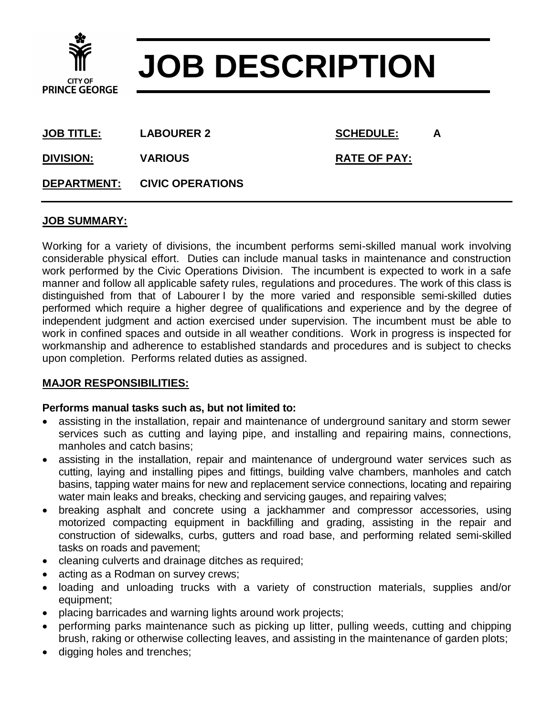

# **JOB DESCRIPTION**

**JOB TITLE: LABOURER 2 SCHEDULE: A**

**DIVISION:** VARIOUS RATE OF PAY:

**DEPARTMENT: CIVIC OPERATIONS**

### **JOB SUMMARY:**

Working for a variety of divisions, the incumbent performs semi-skilled manual work involving considerable physical effort. Duties can include manual tasks in maintenance and construction work performed by the Civic Operations Division. The incumbent is expected to work in a safe manner and follow all applicable safety rules, regulations and procedures. The work of this class is distinguished from that of Labourer I by the more varied and responsible semi-skilled duties performed which require a higher degree of qualifications and experience and by the degree of independent judgment and action exercised under supervision. The incumbent must be able to work in confined spaces and outside in all weather conditions. Work in progress is inspected for workmanship and adherence to established standards and procedures and is subject to checks upon completion. Performs related duties as assigned.

## **MAJOR RESPONSIBILITIES:**

#### **Performs manual tasks such as, but not limited to:**

- assisting in the installation, repair and maintenance of underground sanitary and storm sewer services such as cutting and laying pipe, and installing and repairing mains, connections, manholes and catch basins;
- assisting in the installation, repair and maintenance of underground water services such as cutting, laying and installing pipes and fittings, building valve chambers, manholes and catch basins, tapping water mains for new and replacement service connections, locating and repairing water main leaks and breaks, checking and servicing gauges, and repairing valves;
- breaking asphalt and concrete using a jackhammer and compressor accessories, using motorized compacting equipment in backfilling and grading, assisting in the repair and construction of sidewalks, curbs, gutters and road base, and performing related semi-skilled tasks on roads and pavement;
- cleaning culverts and drainage ditches as required;
- acting as a Rodman on survey crews;
- loading and unloading trucks with a variety of construction materials, supplies and/or equipment;
- placing barricades and warning lights around work projects;
- performing parks maintenance such as picking up litter, pulling weeds, cutting and chipping brush, raking or otherwise collecting leaves, and assisting in the maintenance of garden plots;
- digging holes and trenches;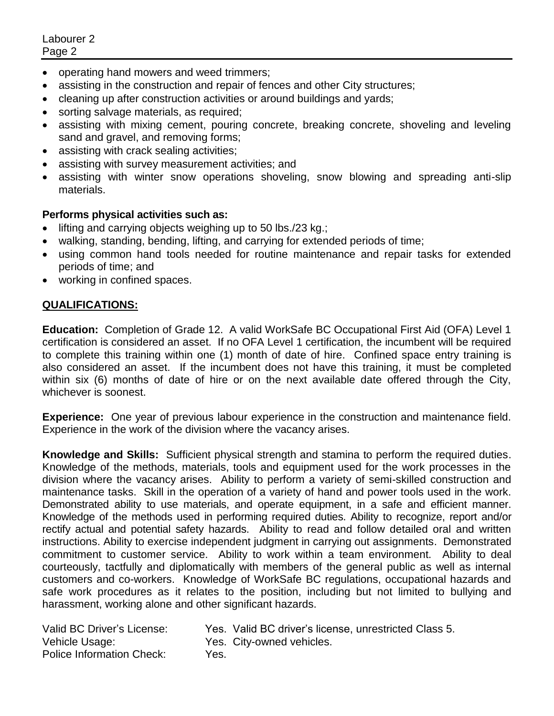Labourer 2 Page 2

- operating hand mowers and weed trimmers;
- assisting in the construction and repair of fences and other City structures;
- cleaning up after construction activities or around buildings and yards;
- sorting salvage materials, as required;
- assisting with mixing cement, pouring concrete, breaking concrete, shoveling and leveling sand and gravel, and removing forms;
- assisting with crack sealing activities;
- assisting with survey measurement activities; and
- assisting with winter snow operations shoveling, snow blowing and spreading anti-slip materials.

#### **Performs physical activities such as:**

- $\bullet$  lifting and carrying objects weighing up to 50 lbs./23 kg.;
- walking, standing, bending, lifting, and carrying for extended periods of time;
- using common hand tools needed for routine maintenance and repair tasks for extended periods of time; and
- working in confined spaces.

#### **QUALIFICATIONS:**

**Education:** Completion of Grade 12. A valid WorkSafe BC Occupational First Aid (OFA) Level 1 certification is considered an asset. If no OFA Level 1 certification, the incumbent will be required to complete this training within one (1) month of date of hire. Confined space entry training is also considered an asset. If the incumbent does not have this training, it must be completed within six (6) months of date of hire or on the next available date offered through the City, whichever is soonest.

**Experience:** One year of previous labour experience in the construction and maintenance field. Experience in the work of the division where the vacancy arises.

**Knowledge and Skills:** Sufficient physical strength and stamina to perform the required duties. Knowledge of the methods, materials, tools and equipment used for the work processes in the division where the vacancy arises. Ability to perform a variety of semi-skilled construction and maintenance tasks. Skill in the operation of a variety of hand and power tools used in the work. Demonstrated ability to use materials, and operate equipment, in a safe and efficient manner. Knowledge of the methods used in performing required duties. Ability to recognize, report and/or rectify actual and potential safety hazards. Ability to read and follow detailed oral and written instructions. Ability to exercise independent judgment in carrying out assignments. Demonstrated commitment to customer service. Ability to work within a team environment. Ability to deal courteously, tactfully and diplomatically with members of the general public as well as internal customers and co-workers. Knowledge of WorkSafe BC regulations, occupational hazards and safe work procedures as it relates to the position, including but not limited to bullying and harassment, working alone and other significant hazards.

| Yes. Valid BC driver's license, unrestricted Class 5. |
|-------------------------------------------------------|
| Yes. City-owned vehicles.                             |
|                                                       |
| Yes.                                                  |